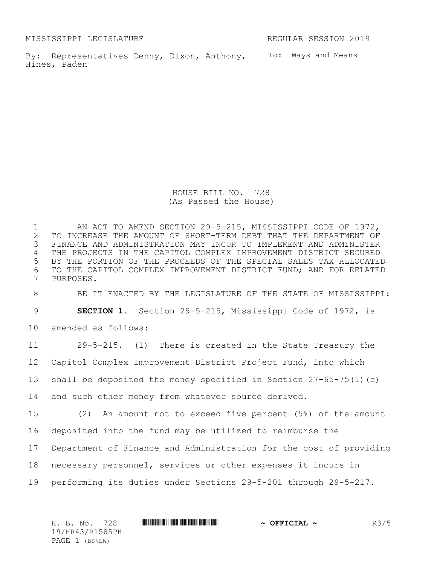MISSISSIPPI LEGISLATURE REGULAR SESSION 2019

By: Representatives Denny, Dixon, Anthony, To: Ways and Means Hines, Paden

HOUSE BILL NO. 728 (As Passed the House)

 AN ACT TO AMEND SECTION 29-5-215, MISSISSIPPI CODE OF 1972, 2 TO INCREASE THE AMOUNT OF SHORT-TERM DEBT THAT THE DEPARTMENT OF<br>3 FINANCE AND ADMINISTRATION MAY INCUR TO IMPLEMENT AND ADMINISTER FINANCE AND ADMINISTRATION MAY INCUR TO IMPLEMENT AND ADMINISTER THE PROJECTS IN THE CAPITOL COMPLEX IMPROVEMENT DISTRICT SECURED BY THE PORTION OF THE PROCEEDS OF THE SPECIAL SALES TAX ALLOCATED TO THE CAPITOL COMPLEX IMPROVEMENT DISTRICT FUND; AND FOR RELATED PURPOSES.

BE IT ENACTED BY THE LEGISLATURE OF THE STATE OF MISSISSIPPI:

**SECTION 1.** Section 29-5-215, Mississippi Code of 1972, is

amended as follows:

 29-5-215. (1) There is created in the State Treasury the Capitol Complex Improvement District Project Fund, into which shall be deposited the money specified in Section 27-65-75(1)(c) and such other money from whatever source derived. (2) An amount not to exceed five percent (5%) of the amount deposited into the fund may be utilized to reimburse the

Department of Finance and Administration for the cost of providing

necessary personnel, services or other expenses it incurs in

performing its duties under Sections 29-5-201 through 29-5-217.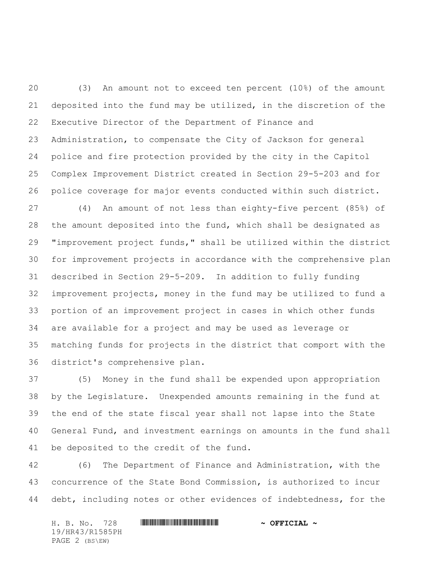(3) An amount not to exceed ten percent (10%) of the amount deposited into the fund may be utilized, in the discretion of the Executive Director of the Department of Finance and Administration, to compensate the City of Jackson for general police and fire protection provided by the city in the Capitol Complex Improvement District created in Section 29-5-203 and for police coverage for major events conducted within such district.

 (4) An amount of not less than eighty-five percent (85%) of the amount deposited into the fund, which shall be designated as "improvement project funds," shall be utilized within the district for improvement projects in accordance with the comprehensive plan described in Section 29-5-209. In addition to fully funding improvement projects, money in the fund may be utilized to fund a portion of an improvement project in cases in which other funds are available for a project and may be used as leverage or matching funds for projects in the district that comport with the district's comprehensive plan.

 (5) Money in the fund shall be expended upon appropriation by the Legislature. Unexpended amounts remaining in the fund at the end of the state fiscal year shall not lapse into the State General Fund, and investment earnings on amounts in the fund shall be deposited to the credit of the fund.

 (6) The Department of Finance and Administration, with the concurrence of the State Bond Commission, is authorized to incur debt, including notes or other evidences of indebtedness, for the

H. B. No. 728 **HR441 R158 PHR444 EXECTAL ~** 19/HR43/R1585PH PAGE 2 (BS\EW)